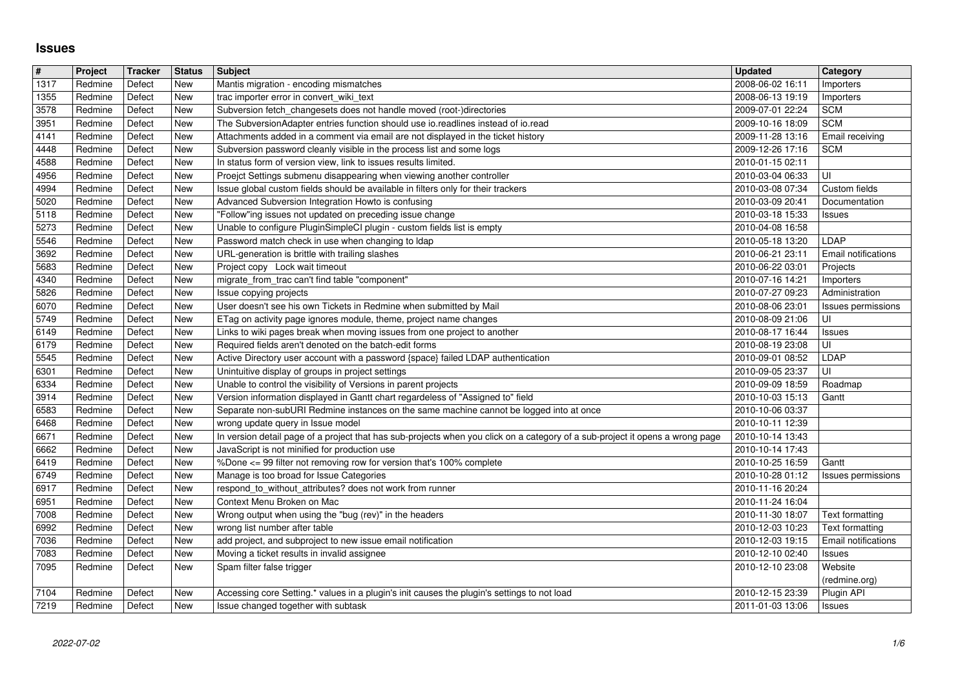## **Issues**

| 1317<br>1355<br>3578 | Redmine<br>Redmine | Defect           | New                      |                                                                                                                                                                                | 2008-06-02 16:11                     |                                    |
|----------------------|--------------------|------------------|--------------------------|--------------------------------------------------------------------------------------------------------------------------------------------------------------------------------|--------------------------------------|------------------------------------|
|                      |                    | Defect           | <b>New</b>               | Mantis migration - encoding mismatches<br>trac importer error in convert_wiki_text                                                                                             | 2008-06-13 19:19                     | Importers<br>Importers             |
|                      | Redmine            | Defect           | <b>New</b>               | Subversion fetch_changesets does not handle moved (root-)directories                                                                                                           | 2009-07-01 22:24                     | <b>SCM</b>                         |
| 3951<br>4141         | Redmine<br>Redmine | Defect<br>Defect | <b>New</b><br><b>New</b> | The SubversionAdapter entries function should use io.readlines instead of io.read<br>Attachments added in a comment via email are not displayed in the ticket history          | 2009-10-16 18:09<br>2009-11-28 13:16 | <b>SCM</b><br>Email receiving      |
| 4448                 | Redmine            | Defect           | <b>New</b>               | Subversion password cleanly visible in the process list and some logs                                                                                                          | 2009-12-26 17:16                     | <b>SCM</b>                         |
| 4588<br>4956         | Redmine<br>Redmine | Defect<br>Defect | <b>New</b><br><b>New</b> | In status form of version view, link to issues results limited.<br>Proejct Settings submenu disappearing when viewing another controller                                       | 2010-01-15 02:11<br>2010-03-04 06:33 | UI                                 |
| 4994                 | Redmine            | Defect           | <b>New</b>               | Issue global custom fields should be available in filters only for their trackers                                                                                              | 2010-03-08 07:34                     | Custom fields                      |
| 5020<br>5118         | Redmine<br>Redmine | Defect<br>Defect | <b>New</b><br><b>New</b> | Advanced Subversion Integration Howto is confusing<br>"Follow"ing issues not updated on preceding issue change                                                                 | 2010-03-09 20:41<br>2010-03-18 15:33 | Documentation<br>Issues            |
| 5273                 | Redmine            | Defect           | <b>New</b>               | Unable to configure PluginSimpleCI plugin - custom fields list is empty                                                                                                        | 2010-04-08 16:58                     |                                    |
| 5546<br>3692         | Redmine<br>Redmine | Defect<br>Defect | <b>New</b><br><b>New</b> | Password match check in use when changing to Idap<br>URL-generation is brittle with trailing slashes                                                                           | 2010-05-18 13:20<br>2010-06-21 23:11 | LDAP<br><b>Email notifications</b> |
| 5683                 | Redmine            | Defect           | <b>New</b>               | Project copy Lock wait timeout                                                                                                                                                 | 2010-06-22 03:01                     | Projects                           |
| 4340<br>5826         | Redmine<br>Redmine | Defect<br>Defect | New<br><b>New</b>        | migrate_from_trac can't find table "component"<br>Issue copying projects                                                                                                       | 2010-07-16 14:21<br>2010-07-27 09:23 | Importers<br>Administration        |
| 6070                 | Redmine            | Defect           | <b>New</b>               | User doesn't see his own Tickets in Redmine when submitted by Mail                                                                                                             | 2010-08-06 23:01                     | Issues permissions                 |
| 5749<br>6149         | Redmine<br>Redmine | Defect<br>Defect | <b>New</b><br><b>New</b> | ETag on activity page ignores module, theme, project name changes<br>Links to wiki pages break when moving issues from one project to another                                  | 2010-08-09 21:06<br>2010-08-17 16:44 | UI<br>Issues                       |
| 6179                 | Redmine            | Defect           | <b>New</b>               | Required fields aren't denoted on the batch-edit forms                                                                                                                         | 2010-08-19 23:08                     | UI                                 |
| 5545<br>6301         | Redmine<br>Redmine | Defect<br>Defect | <b>New</b><br><b>New</b> | Active Directory user account with a password {space} failed LDAP authentication<br>Unintuitive display of groups in project settings                                          | 2010-09-01 08:52<br>2010-09-05 23:37 | LDAP<br>UI                         |
| 6334                 | Redmine            | Defect           | <b>New</b>               | Unable to control the visibility of Versions in parent projects                                                                                                                | 2010-09-09 18:59                     | Roadmap                            |
| 3914<br>6583         | Redmine<br>Redmine | Defect<br>Defect | <b>New</b><br><b>New</b> | Version information displayed in Gantt chart regardeless of "Assigned to" field<br>Separate non-subURI Redmine instances on the same machine cannot be logged into at once     | 2010-10-03 15:13<br>2010-10-06 03:37 | Gantt                              |
| 6468                 | Redmine            | Defect           | <b>New</b>               | wrong update query in Issue model                                                                                                                                              | 2010-10-11 12:39                     |                                    |
| 6671<br>6662         | Redmine<br>Redmine | Defect<br>Defect | <b>New</b><br><b>New</b> | In version detail page of a project that has sub-projects when you click on a category of a sub-project it opens a wrong page<br>JavaScript is not minified for production use | 2010-10-14 13:43<br>2010-10-14 17:43 |                                    |
| 6419                 | Redmine            | Defect           | <b>New</b>               | %Done <= 99 filter not removing row for version that's 100% complete                                                                                                           | 2010-10-25 16:59                     | Gantt                              |
| 6749<br>6917         | Redmine<br>Redmine | Defect<br>Defect | <b>New</b><br><b>New</b> | Manage is too broad for Issue Categories<br>respond_to_without_attributes? does not work from runner                                                                           | 2010-10-28 01:12<br>2010-11-16 20:24 | Issues permissions                 |
| 6951                 | Redmine            | Defect           | <b>New</b>               | Context Menu Broken on Mac                                                                                                                                                     | 2010-11-24 16:04                     |                                    |
| 7008<br>6992         | Redmine<br>Redmine | Defect<br>Defect | <b>New</b><br><b>New</b> | Wrong output when using the "bug (rev)" in the headers<br>wrong list number after table                                                                                        | 2010-11-30 18:07<br>2010-12-03 10:23 | Text formatting<br>Text formatting |
| 7036                 | Redmine            | Defect           | <b>New</b>               | add project, and subproject to new issue email notification                                                                                                                    | 2010-12-03 19:15                     | Email notifications                |
| 7083<br>7095         | Redmine<br>Redmine | Defect<br>Defect | <b>New</b><br>New        | Moving a ticket results in invalid assignee<br>Spam filter false trigger                                                                                                       | 2010-12-10 02:40<br>2010-12-10 23:08 | Issues<br>Website                  |
|                      |                    |                  |                          |                                                                                                                                                                                |                                      | (redmine.org)                      |
| 7104<br>7219         | Redmine<br>Redmine | Defect<br>Defect | New<br>New               | Accessing core Setting.* values in a plugin's init causes the plugin's settings to not load<br>Issue changed together with subtask                                             | 2010-12-15 23:39<br>2011-01-03 13:06 | Plugin API<br>Issues               |
|                      |                    |                  |                          |                                                                                                                                                                                |                                      |                                    |
|                      |                    |                  |                          |                                                                                                                                                                                |                                      |                                    |
|                      |                    |                  |                          |                                                                                                                                                                                |                                      |                                    |
|                      |                    |                  |                          |                                                                                                                                                                                |                                      |                                    |
|                      |                    |                  |                          |                                                                                                                                                                                |                                      |                                    |
|                      |                    |                  |                          |                                                                                                                                                                                |                                      |                                    |
|                      |                    |                  |                          |                                                                                                                                                                                |                                      |                                    |
|                      |                    |                  |                          |                                                                                                                                                                                |                                      |                                    |
|                      |                    |                  |                          |                                                                                                                                                                                |                                      |                                    |
|                      |                    |                  |                          |                                                                                                                                                                                |                                      |                                    |
|                      |                    |                  |                          |                                                                                                                                                                                |                                      |                                    |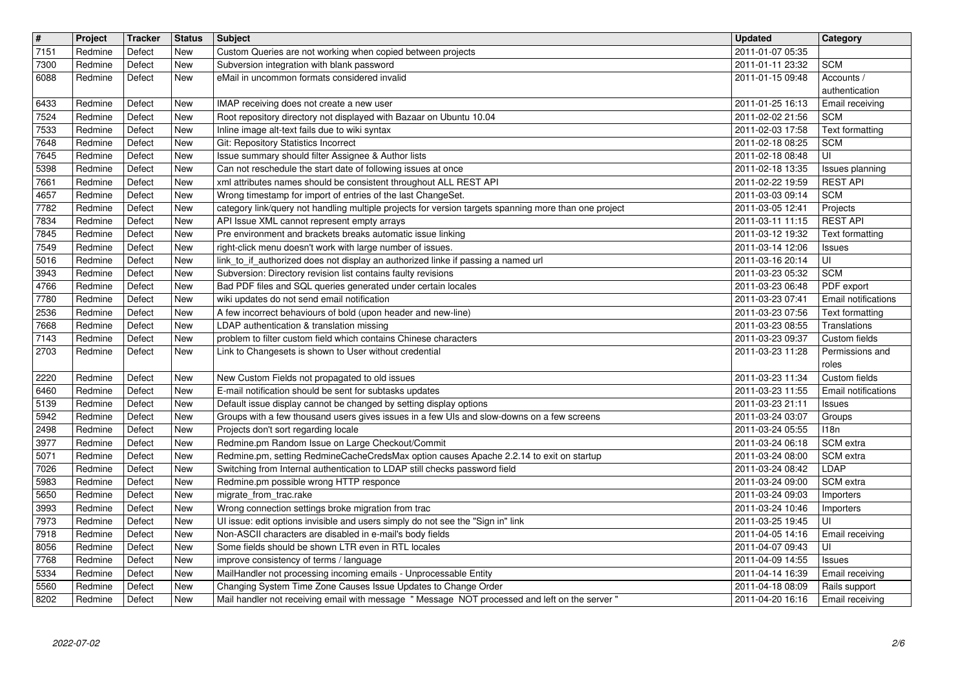| $\sqrt{t}$   | Project            | Tracker          | <b>Status</b>            | Subject                                                                                                                                                          | <b>Updated</b>                       | Category                      |
|--------------|--------------------|------------------|--------------------------|------------------------------------------------------------------------------------------------------------------------------------------------------------------|--------------------------------------|-------------------------------|
| 7151<br>7300 | Redmine<br>Redmine | Defect<br>Defect | New<br>New               | Custom Queries are not working when copied between projects<br>Subversion integration with blank password                                                        | 2011-01-07 05:35<br>2011-01-11 23:32 | <b>SCM</b>                    |
| 6088         | Redmine            | Defect           | New                      | eMail in uncommon formats considered invalid                                                                                                                     | 2011-01-15 09:48                     | Accounts /                    |
|              |                    |                  |                          |                                                                                                                                                                  |                                      | authentication                |
| 6433<br>7524 | Redmine<br>Redmine | Defect<br>Defect | New<br>New               | IMAP receiving does not create a new user<br>Root repository directory not displayed with Bazaar on Ubuntu 10.04                                                 | 2011-01-25 16:13<br>2011-02-02 21:56 | Email receiving<br><b>SCM</b> |
| 7533         | Redmine            | Defect           | New                      | Inline image alt-text fails due to wiki syntax                                                                                                                   | 2011-02-03 17:58                     | <b>Text formatting</b>        |
| 7648<br>7645 | Redmine<br>Redmine | Defect<br>Defect | New<br><b>New</b>        | Git: Repository Statistics Incorrect<br>Issue summary should filter Assignee & Author lists                                                                      | 2011-02-18 08:25<br>2011-02-18 08:48 | <b>SCM</b><br>UI              |
| 5398         | Redmine            | Defect           | <b>New</b>               | Can not reschedule the start date of following issues at once                                                                                                    | 2011-02-18 13:35                     | Issues planning               |
| 7661<br>4657 | Redmine<br>Redmine | Defect<br>Defect | <b>New</b><br>New        | xml attributes names should be consistent throughout ALL REST API<br>Wrong timestamp for import of entries of the last ChangeSet.                                | 2011-02-22 19:59<br>2011-03-03 09:14 | <b>REST API</b><br><b>SCM</b> |
| 7782         | Redmine            | Defect           | New                      | category link/query not handling multiple projects for version targets spanning more than one project                                                            | 2011-03-05 12:41                     | Projects                      |
| 7834         | Redmine            | Defect           | <b>New</b>               | API Issue XML cannot represent empty arrays                                                                                                                      | 2011-03-11 11:15                     | <b>REST API</b>               |
| 7845<br>7549 | Redmine<br>Redmine | Defect<br>Defect | New<br>New               | Pre environment and brackets breaks automatic issue linking<br>right-click menu doesn't work with large number of issues.                                        | 2011-03-12 19:32<br>2011-03-14 12:06 | Text formatting<br>Issues     |
| 5016         | Redmine            | Defect           | <b>New</b>               | link_to_if_authorized does not display an authorized linke if passing a named url                                                                                | 2011-03-16 20:14                     | UI                            |
| 3943<br>4766 | Redmine<br>Redmine | Defect<br>Defect | <b>New</b><br><b>New</b> | Subversion: Directory revision list contains faulty revisions<br>Bad PDF files and SQL queries generated under certain locales                                   | 2011-03-23 05:32<br>2011-03-23 06:48 | <b>SCM</b><br>PDF export      |
| 7780         | Redmine            | Defect           | <b>New</b>               | wiki updates do not send email notification                                                                                                                      | 2011-03-23 07:41                     | Email notifications           |
| 2536         | Redmine            | Defect           | New                      | A few incorrect behaviours of bold (upon header and new-line)                                                                                                    | 2011-03-23 07:56                     | Text formatting               |
| 7668<br>7143 | Redmine<br>Redmine | Defect<br>Defect | New<br><b>New</b>        | LDAP authentication & translation missing<br>problem to filter custom field which contains Chinese characters                                                    | 2011-03-23 08:55<br>2011-03-23 09:37 | Translations<br>Custom fields |
| 2703         | Redmine            | Defect           | New                      | Link to Changesets is shown to User without credential                                                                                                           | 2011-03-23 11:28                     | Permissions and               |
| 2220         | Redmine            | Defect           | New                      | New Custom Fields not propagated to old issues                                                                                                                   | 2011-03-23 11:34                     | roles<br>Custom fields        |
| 6460         | Redmine            | Defect           | <b>New</b>               | E-mail notification should be sent for subtasks updates                                                                                                          | 2011-03-23 11:55                     | Email notifications           |
| 5139         | Redmine            | Defect           | <b>New</b>               | Default issue display cannot be changed by setting display options                                                                                               | 2011-03-23 21:11                     | <b>Issues</b>                 |
| 5942<br>2498 | Redmine<br>Redmine | Defect<br>Defect | <b>New</b><br><b>New</b> | Groups with a few thousand users gives issues in a few UIs and slow-downs on a few screens<br>Projects don't sort regarding locale                               | 2011-03-24 03:07<br>2011-03-24 05:55 | Groups<br>118n                |
| 3977         | Redmine            | Defect           | New                      | Redmine.pm Random Issue on Large Checkout/Commit                                                                                                                 | 2011-03-24 06:18                     | SCM extra                     |
| 5071         | Redmine            | Defect           | <b>New</b>               | Redmine.pm, setting RedmineCacheCredsMax option causes Apache 2.2.14 to exit on startup                                                                          | 2011-03-24 08:00                     | SCM extra                     |
| 7026<br>5983 | Redmine<br>Redmine | Defect<br>Defect | New<br>New               | Switching from Internal authentication to LDAP still checks password field<br>Redmine.pm possible wrong HTTP responce                                            | 2011-03-24 08:42<br>2011-03-24 09:00 | LDAP<br>SCM extra             |
| 5650         | Redmine            | Defect           | New                      | migrate_from_trac.rake                                                                                                                                           | 2011-03-24 09:03                     | Importers                     |
| 3993<br>7973 | Redmine<br>Redmine | Defect<br>Defect | <b>New</b><br>New        | Wrong connection settings broke migration from trac<br>UI issue: edit options invisible and users simply do not see the "Sign in" link                           | 2011-03-24 10:46<br>2011-03-25 19:45 | Importers<br>UI               |
| 7918         | Redmine            | Defect           | New                      | Non-ASCII characters are disabled in e-mail's body fields                                                                                                        | 2011-04-05 14:16                     | Email receiving               |
| 8056         | Redmine            | Defect           | New                      | Some fields should be shown LTR even in RTL locales                                                                                                              | 2011-04-07 09:43                     | UI                            |
| 7768<br>5334 | Redmine<br>Redmine | Defect<br>Defect | <b>New</b><br>New        | improve consistency of terms / language<br>MailHandler not processing incoming emails - Unprocessable Entity                                                     | 2011-04-09 14:55<br>2011-04-14 16:39 | Issues<br>Email receiving     |
| 5560         | Redmine            | Defect           | New                      | Changing System Time Zone Causes Issue Updates to Change Order<br>Mail handler not receiving email with message " Message NOT processed and left on the server " | 2011-04-18 08:09                     | Rails support                 |
|              |                    |                  |                          |                                                                                                                                                                  |                                      |                               |
|              |                    |                  |                          |                                                                                                                                                                  |                                      |                               |
|              |                    |                  |                          |                                                                                                                                                                  |                                      |                               |
|              |                    |                  |                          |                                                                                                                                                                  |                                      |                               |
|              |                    |                  |                          |                                                                                                                                                                  |                                      |                               |
|              |                    |                  |                          |                                                                                                                                                                  |                                      |                               |
|              |                    |                  |                          |                                                                                                                                                                  |                                      |                               |
|              |                    |                  |                          |                                                                                                                                                                  |                                      |                               |
|              |                    |                  |                          |                                                                                                                                                                  |                                      |                               |
|              |                    |                  |                          |                                                                                                                                                                  |                                      |                               |
|              |                    |                  |                          |                                                                                                                                                                  |                                      |                               |
|              |                    |                  |                          |                                                                                                                                                                  |                                      |                               |
|              |                    |                  |                          |                                                                                                                                                                  |                                      |                               |
|              |                    |                  |                          |                                                                                                                                                                  |                                      |                               |
|              |                    |                  |                          |                                                                                                                                                                  |                                      |                               |
|              |                    |                  |                          |                                                                                                                                                                  |                                      |                               |
|              |                    |                  |                          |                                                                                                                                                                  |                                      |                               |
|              |                    |                  |                          |                                                                                                                                                                  |                                      |                               |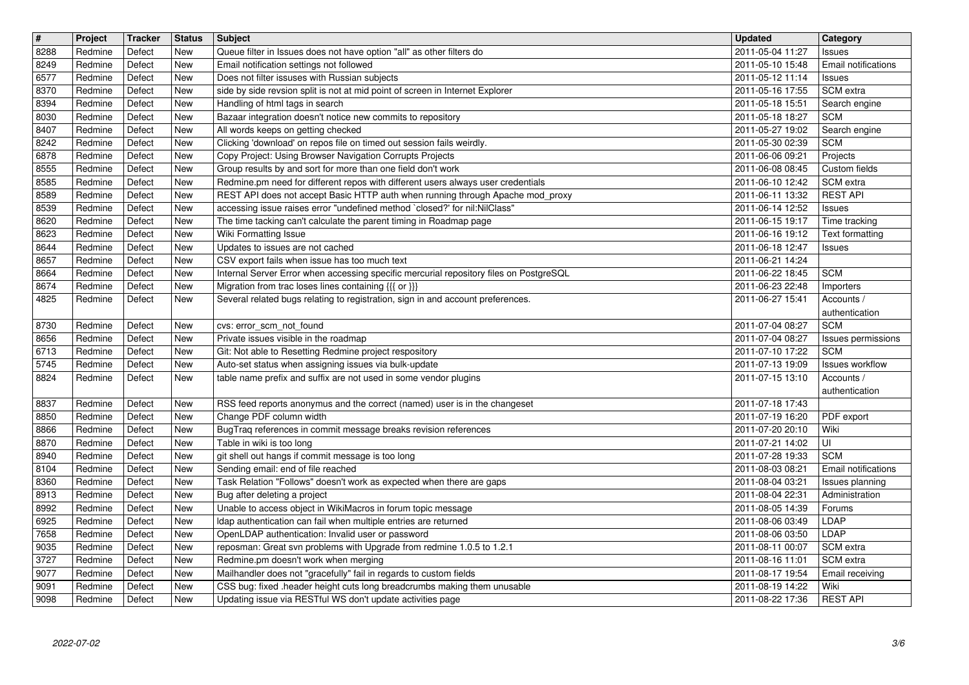| $\sqrt{\frac{4}{15}}$ | Project            | Tracker          | <b>Status</b>            | Subject                                                                                                                                          | <b>Updated</b>                       | <b>Category</b>                      |
|-----------------------|--------------------|------------------|--------------------------|--------------------------------------------------------------------------------------------------------------------------------------------------|--------------------------------------|--------------------------------------|
| 8288                  | Redmine            | Defect           | New                      | Queue filter in Issues does not have option "all" as other filters do                                                                            | 2011-05-04 11:27                     | Issues                               |
| 8249<br>6577          | Redmine<br>Redmine | Defect<br>Defect | <b>New</b><br><b>New</b> | Email notification settings not followed<br>Does not filter issuses with Russian subjects                                                        | 2011-05-10 15:48<br>2011-05-12 11:14 | Email notifications<br><b>Issues</b> |
| 8370                  | Redmine            | Defect           | <b>New</b>               | side by side revsion split is not at mid point of screen in Internet Explorer                                                                    | 2011-05-16 17:55                     | SCM extra                            |
| 8394                  | Redmine            | Defect           | New                      | Handling of html tags in search                                                                                                                  | 2011-05-18 15:51                     | Search engine                        |
| 8030                  | Redmine            | Defect           | <b>New</b>               | Bazaar integration doesn't notice new commits to repository                                                                                      | 2011-05-18 18:27                     | <b>SCM</b>                           |
| 8407                  | Redmine            | Defect           | <b>New</b>               | All words keeps on getting checked                                                                                                               | 2011-05-27 19:02                     | Search engine                        |
| 8242<br>6878          | Redmine<br>Redmine | Defect<br>Defect | <b>New</b><br><b>New</b> | Clicking 'download' on repos file on timed out session fails weirdly.<br>Copy Project: Using Browser Navigation Corrupts Projects                | 2011-05-30 02:39<br>2011-06-06 09:21 | <b>SCM</b><br>Projects               |
| 8555                  | Redmine            | Defect           | <b>New</b>               | Group results by and sort for more than one field don't work                                                                                     | 2011-06-08 08:45                     | Custom fields                        |
| 8585                  | Redmine            | Defect           | <b>New</b>               | Redmine.pm need for different repos with different users always user credentials                                                                 | 2011-06-10 12:42                     | SCM extra                            |
| 8589                  | Redmine            | Defect           | New                      | REST API does not accept Basic HTTP auth when running through Apache mod_proxy                                                                   | 2011-06-11 13:32                     | <b>REST API</b>                      |
| 8539<br>8620          | Redmine<br>Redmine | Defect<br>Defect | New<br>New               | accessing issue raises error "undefined method `closed?' for nil:NilClass"<br>The time tacking can't calculate the parent timing in Roadmap page | 2011-06-14 12:52<br>2011-06-15 19:17 | Issues<br>Time tracking              |
| 8623                  | Redmine            | Defect           | New                      | Wiki Formatting Issue                                                                                                                            | 2011-06-16 19:12                     | Text formatting                      |
| 8644                  | Redmine            | Defect           | New                      | Updates to issues are not cached                                                                                                                 | 2011-06-18 12:47                     | <b>Issues</b>                        |
| 8657                  | Redmine            | Defect           | New                      | CSV export fails when issue has too much text                                                                                                    | 2011-06-21 14:24                     |                                      |
| 8664                  | Redmine            | Defect           | <b>New</b>               | Internal Server Error when accessing specific mercurial repository files on PostgreSQL                                                           | 2011-06-22 18:45<br>2011-06-23 22:48 | <b>SCM</b>                           |
| 8674<br>4825          | Redmine<br>Redmine | Defect<br>Defect | <b>New</b><br>New        | Migration from trac loses lines containing {{{ or }}}<br>Several related bugs relating to registration, sign in and account preferences.         | 2011-06-27 15:41                     | Importers<br>Accounts /              |
|                       |                    |                  |                          |                                                                                                                                                  |                                      | authentication                       |
| 8730                  | Redmine            | Defect           | <b>New</b>               | cvs: error_scm_not_found                                                                                                                         | 2011-07-04 08:27                     | <b>SCM</b>                           |
| 8656                  | Redmine            | Defect           | New                      | Private issues visible in the roadmap                                                                                                            | 2011-07-04 08:27                     | Issues permissions                   |
| 6713<br>5745          | Redmine<br>Redmine | Defect<br>Defect | <b>New</b><br>New        | Git: Not able to Resetting Redmine project respository<br>Auto-set status when assigning issues via bulk-update                                  | 2011-07-10 17:22<br>2011-07-13 19:09 | <b>SCM</b><br>Issues workflow        |
| 8824                  | Redmine            | Defect           | New                      | table name prefix and suffix are not used in some vendor plugins                                                                                 | 2011-07-15 13:10                     | Accounts /                           |
|                       |                    |                  |                          |                                                                                                                                                  |                                      | authentication                       |
| 8837                  | Redmine            | Defect           | <b>New</b>               | RSS feed reports anonymus and the correct (named) user is in the changeset                                                                       | 2011-07-18 17:43                     |                                      |
| 8850                  | Redmine            | Defect           | <b>New</b>               | Change PDF column width                                                                                                                          | 2011-07-19 16:20                     | PDF export                           |
| 8866<br>8870          | Redmine<br>Redmine | Defect<br>Defect | New<br>New               | BugTraq references in commit message breaks revision references<br>Table in wiki is too long                                                     | 2011-07-20 20:10<br>2011-07-21 14:02 | Wiki<br>l UI                         |
| 8940                  | Redmine            | Defect           | New                      | git shell out hangs if commit message is too long                                                                                                | 2011-07-28 19:33                     | <b>SCM</b>                           |
| 8104                  | Redmine            | Defect           | New                      | Sending email: end of file reached                                                                                                               | 2011-08-03 08:21                     | <b>Email notifications</b>           |
| 8360                  | Redmine            | Defect           | <b>New</b>               | Task Relation "Follows" doesn't work as expected when there are gaps                                                                             | 2011-08-04 03:21                     | Issues planning                      |
| 8913<br>8992          | Redmine<br>Redmine | Defect<br>Defect | <b>New</b><br><b>New</b> | Bug after deleting a project<br>Unable to access object in WikiMacros in forum topic message                                                     | 2011-08-04 22:31<br>2011-08-05 14:39 | Administration<br>Forums             |
| 6925                  | Redmine            | Defect           | New                      | Idap authentication can fail when multiple entries are returned                                                                                  | 2011-08-06 03:49                     | <b>LDAP</b>                          |
| 7658                  | Redmine            | Defect           | New                      | OpenLDAP authentication: Invalid user or password                                                                                                | 2011-08-06 03:50                     | LDAP                                 |
| $\boxed{9035}$        | Redmine            | Defect           | New                      | reposman: Great svn problems with Upgrade from redmine 1.0.5 to 1.2.1                                                                            | 2011-08-11 00:07                     | SCM extra                            |
| 3727                  | Redmine            | Defect           | New                      | Redmine.pm doesn't work when merging                                                                                                             | 2011-08-16 11:01                     | SCM extra                            |
| 9077<br>9091          | Redmine<br>Redmine | Defect<br>Defect | New<br>New               | Mailhandler does not "gracefully" fail in regards to custom fields<br>CSS bug: fixed .header height cuts long breadcrumbs making them unusable   | 2011-08-17 19:54<br>2011-08-19 14:22 | Email receiving<br>Wiki              |
| 9098                  | Redmine            | Defect           | New                      | Updating issue via RESTful WS don't update activities page                                                                                       | 2011-08-22 17:36                     | <b>REST API</b>                      |
|                       |                    |                  |                          |                                                                                                                                                  |                                      |                                      |
|                       |                    |                  |                          |                                                                                                                                                  |                                      |                                      |
|                       |                    |                  |                          |                                                                                                                                                  |                                      |                                      |
|                       |                    |                  |                          |                                                                                                                                                  |                                      |                                      |
|                       |                    |                  |                          |                                                                                                                                                  |                                      |                                      |
|                       |                    |                  |                          |                                                                                                                                                  |                                      |                                      |
|                       |                    |                  |                          |                                                                                                                                                  |                                      |                                      |
|                       |                    |                  |                          |                                                                                                                                                  |                                      |                                      |
|                       |                    |                  |                          |                                                                                                                                                  |                                      |                                      |
|                       |                    |                  |                          |                                                                                                                                                  |                                      |                                      |
|                       |                    |                  |                          |                                                                                                                                                  |                                      |                                      |
|                       |                    |                  |                          |                                                                                                                                                  |                                      |                                      |
|                       |                    |                  |                          |                                                                                                                                                  |                                      |                                      |
|                       |                    |                  |                          |                                                                                                                                                  |                                      |                                      |
|                       |                    |                  |                          |                                                                                                                                                  |                                      |                                      |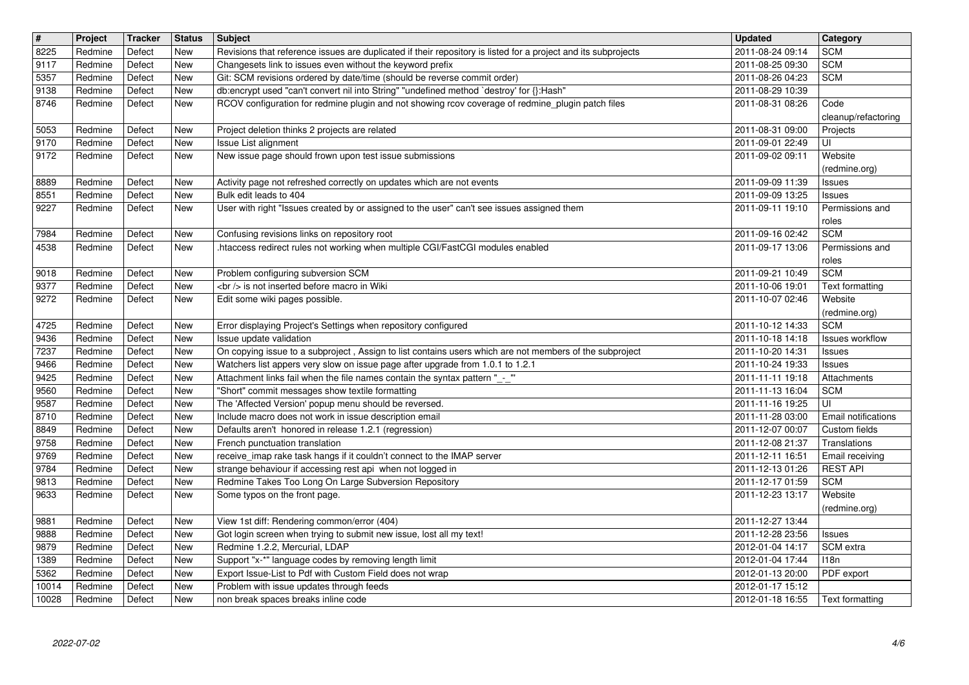| $\overline{\mathbf{H}}$ | Project            | <b>Tracker</b>   | <b>Status</b>     | Subject                                                                                                                                                                     | <b>Updated</b>                       | <b>Category</b>                    |
|-------------------------|--------------------|------------------|-------------------|-----------------------------------------------------------------------------------------------------------------------------------------------------------------------------|--------------------------------------|------------------------------------|
| 8225<br>9117            | Redmine<br>Redmine | Defect<br>Defect | New<br><b>New</b> | Revisions that reference issues are duplicated if their repository is listed for a project and its subprojects<br>Changesets link to issues even without the keyword prefix | 2011-08-24 09:14<br>2011-08-25 09:30 | <b>SCM</b><br><b>SCM</b>           |
| 5357                    | Redmine            | Defect           | New               | Git: SCM revisions ordered by date/time (should be reverse commit order)                                                                                                    | 2011-08-26 04:23                     | <b>SCM</b>                         |
| 9138                    | Redmine            | Defect           | New               | db:encrypt used "can't convert nil into String" "undefined method `destroy' for {}:Hash"                                                                                    | 2011-08-29 10:39                     |                                    |
| 8746                    | Redmine            | Defect           | New               | RCOV configuration for redmine plugin and not showing rcov coverage of redmine_plugin patch files                                                                           | 2011-08-31 08:26                     | Code<br>cleanup/refactoring        |
| 5053                    | Redmine            | Defect           | New               | Project deletion thinks 2 projects are related                                                                                                                              | 2011-08-31 09:00                     | Projects                           |
| 9170                    | Redmine            | Defect           | New               | Issue List alignment                                                                                                                                                        | 2011-09-01 22:49                     | UI                                 |
| 9172                    | Redmine            | Defect           | New               | New issue page should frown upon test issue submissions                                                                                                                     | 2011-09-02 09:11                     | Website                            |
| 8889                    | Redmine            | Defect           | <b>New</b>        | Activity page not refreshed correctly on updates which are not events                                                                                                       | 2011-09-09 11:39                     | (redmine.org)<br>Issues            |
| 8551                    | Redmine            | Defect           | New               | Bulk edit leads to 404                                                                                                                                                      | 2011-09-09 13:25                     | Issues                             |
| 9227                    | Redmine            | Defect           | New               | User with right "Issues created by or assigned to the user" can't see issues assigned them                                                                                  | 2011-09-11 19:10                     | Permissions and                    |
| 7984                    | Redmine            | Defect           | New               | Confusing revisions links on repository root                                                                                                                                | 2011-09-16 02:42                     | roles<br><b>SCM</b>                |
| 4538                    | Redmine            | Defect           | New               | .htaccess redirect rules not working when multiple CGI/FastCGI modules enabled                                                                                              | 2011-09-17 13:06                     | Permissions and                    |
|                         |                    |                  |                   |                                                                                                                                                                             |                                      | roles                              |
| 9018<br>9377            | Redmine<br>Redmine | Defect<br>Defect | New<br>New        | Problem configuring subversion SCM<br><br>> is not inserted before macro in Wiki                                                                                            | 2011-09-21 10:49<br>2011-10-06 19:01 | <b>SCM</b><br>Text formatting      |
| 9272                    | Redmine            | Defect           | New               | Edit some wiki pages possible.                                                                                                                                              | 2011-10-07 02:46                     | Website                            |
|                         |                    |                  |                   |                                                                                                                                                                             |                                      | (redmine.org)                      |
| 4725                    | Redmine            | Defect           | New               | Error displaying Project's Settings when repository configured<br>Issue update validation                                                                                   | 2011-10-12 14:33                     | <b>SCM</b>                         |
| 9436<br>7237            | Redmine<br>Redmine | Defect<br>Defect | New<br><b>New</b> | On copying issue to a subproject, Assign to list contains users which are not members of the subproject                                                                     | 2011-10-18 14:18<br>2011-10-20 14:31 | Issues workflow<br>Issues          |
| 9466                    | Redmine            | Defect           | New               | Watchers list appers very slow on issue page after upgrade from 1.0.1 to 1.2.1                                                                                              | 2011-10-24 19:33                     | Issues                             |
| 9425                    | Redmine            | Defect           | New               | Attachment links fail when the file names contain the syntax pattern "_-_"                                                                                                  | 2011-11-11 19:18                     | Attachments                        |
| 9560<br>9587            | Redmine<br>Redmine | Defect<br>Defect | New<br>New        | "Short" commit messages show textile formatting<br>The 'Affected Version' popup menu should be reversed.                                                                    | 2011-11-13 16:04<br>2011-11-16 19:25 | <b>SCM</b><br>UI                   |
| 8710                    | Redmine            | Defect           | New               | Include macro does not work in issue description email                                                                                                                      | 2011-11-28 03:00                     | Email notifications                |
| 8849                    | Redmine            | Defect           | <b>New</b>        | Defaults aren't honored in release 1.2.1 (regression)                                                                                                                       | 2011-12-07 00:07                     | Custom fields                      |
| 9758                    | Redmine            | Defect           | New               | French punctuation translation                                                                                                                                              | 2011-12-08 21:37                     | Translations                       |
| 9769<br>9784            | Redmine<br>Redmine | Defect<br>Defect | New<br>New        | receive_imap rake task hangs if it couldn't connect to the IMAP server<br>strange behaviour if accessing rest api when not logged in                                        | 2011-12-11 16:51<br>2011-12-13 01:26 | Email receiving<br><b>REST API</b> |
| 9813                    | Redmine            | Defect           | New               | Redmine Takes Too Long On Large Subversion Repository                                                                                                                       | 2011-12-17 01:59                     | <b>SCM</b>                         |
| 9633                    | Redmine            | Defect           | New               | Some typos on the front page.                                                                                                                                               | 2011-12-23 13:17                     | Website                            |
|                         |                    |                  |                   |                                                                                                                                                                             |                                      | (redmine.org)                      |
| 9881<br>9888            | Redmine<br>Redmine | Defect<br>Defect | New<br><b>New</b> | View 1st diff: Rendering common/error (404)<br>Got login screen when trying to submit new issue, lost all my text!                                                          | 2011-12-27 13:44<br>2011-12-28 23:56 | <b>Issues</b>                      |
| 9879                    | Redmine            | Defect           | New               | Redmine 1.2.2, Mercurial, LDAP                                                                                                                                              | 2012-01-04 14:17                     | SCM extra                          |
| 1389                    | Redmine            | Defect           | New               | Support "x-*" language codes by removing length limit                                                                                                                       | 2012-01-04 17:44                     | 118n                               |
| 5362                    | Redmine            | Defect           | New               | Export Issue-List to Pdf with Custom Field does not wrap                                                                                                                    | 2012-01-13 20:00                     | PDF export                         |
| 10014<br>10028          | Redmine<br>Redmine | Defect<br>Defect | New<br>New        | Problem with issue updates through feeds<br>non break spaces breaks inline code                                                                                             | 2012-01-17 15:12<br>2012-01-18 16:55 | Text formatting                    |
|                         |                    |                  |                   |                                                                                                                                                                             |                                      |                                    |
|                         |                    |                  |                   |                                                                                                                                                                             |                                      |                                    |
|                         |                    |                  |                   |                                                                                                                                                                             |                                      |                                    |
|                         |                    |                  |                   |                                                                                                                                                                             |                                      |                                    |
|                         |                    |                  |                   |                                                                                                                                                                             |                                      |                                    |
|                         |                    |                  |                   |                                                                                                                                                                             |                                      |                                    |
|                         |                    |                  |                   |                                                                                                                                                                             |                                      |                                    |
|                         |                    |                  |                   |                                                                                                                                                                             |                                      |                                    |
|                         |                    |                  |                   |                                                                                                                                                                             |                                      |                                    |
|                         |                    |                  |                   |                                                                                                                                                                             |                                      |                                    |
|                         |                    |                  |                   |                                                                                                                                                                             |                                      |                                    |
|                         |                    |                  |                   |                                                                                                                                                                             |                                      |                                    |
|                         |                    |                  |                   |                                                                                                                                                                             |                                      |                                    |
|                         |                    |                  |                   |                                                                                                                                                                             |                                      |                                    |
|                         |                    |                  |                   |                                                                                                                                                                             |                                      |                                    |
|                         |                    |                  |                   |                                                                                                                                                                             |                                      |                                    |
|                         |                    |                  |                   |                                                                                                                                                                             |                                      |                                    |
|                         |                    |                  |                   |                                                                                                                                                                             |                                      |                                    |
|                         |                    |                  |                   |                                                                                                                                                                             |                                      |                                    |
|                         |                    |                  |                   |                                                                                                                                                                             |                                      |                                    |
|                         |                    |                  |                   |                                                                                                                                                                             |                                      |                                    |
|                         |                    |                  |                   |                                                                                                                                                                             |                                      |                                    |
|                         |                    |                  |                   |                                                                                                                                                                             |                                      |                                    |
|                         |                    |                  |                   |                                                                                                                                                                             |                                      |                                    |
|                         |                    |                  |                   |                                                                                                                                                                             |                                      |                                    |
|                         |                    |                  |                   |                                                                                                                                                                             |                                      |                                    |
|                         |                    |                  |                   |                                                                                                                                                                             |                                      |                                    |
|                         |                    |                  |                   |                                                                                                                                                                             |                                      |                                    |
|                         |                    |                  |                   |                                                                                                                                                                             |                                      |                                    |
|                         |                    |                  |                   |                                                                                                                                                                             |                                      |                                    |
|                         |                    |                  |                   |                                                                                                                                                                             |                                      |                                    |
|                         |                    |                  |                   |                                                                                                                                                                             |                                      |                                    |
|                         |                    |                  |                   |                                                                                                                                                                             |                                      |                                    |
|                         |                    |                  |                   |                                                                                                                                                                             |                                      |                                    |
|                         |                    |                  |                   |                                                                                                                                                                             |                                      |                                    |
|                         |                    |                  |                   |                                                                                                                                                                             |                                      |                                    |
|                         |                    |                  |                   |                                                                                                                                                                             |                                      |                                    |
|                         |                    |                  |                   |                                                                                                                                                                             |                                      |                                    |
|                         |                    |                  |                   |                                                                                                                                                                             |                                      |                                    |
|                         |                    |                  |                   |                                                                                                                                                                             |                                      |                                    |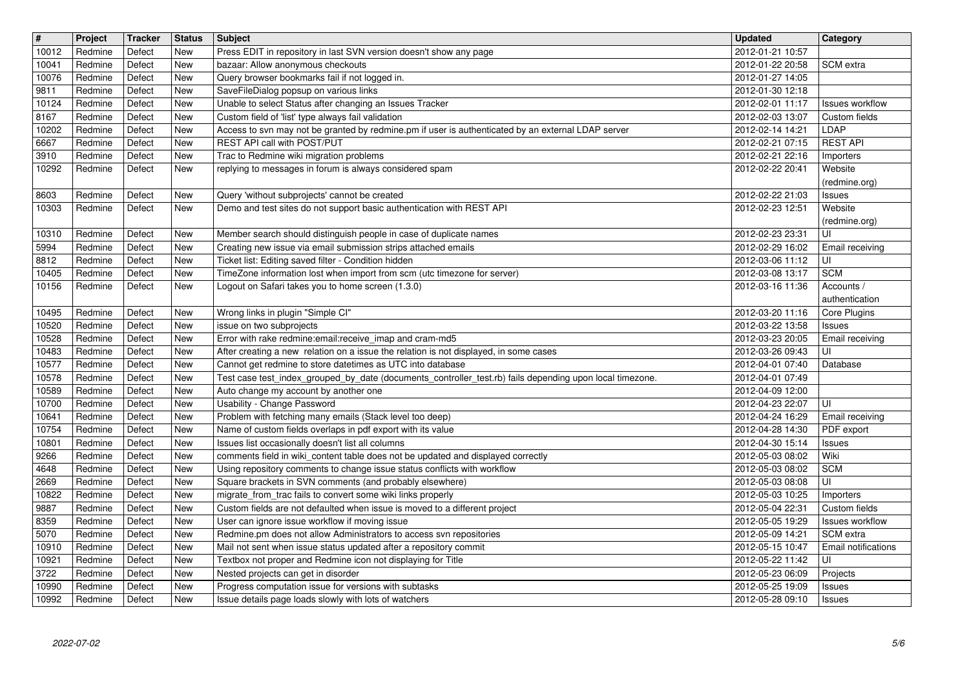| $\overline{\mathbf{H}}$<br>10012 | Project<br>Redmine | <b>Tracker</b><br>Defect | <b>Status</b><br>New | Subject<br>Press EDIT in repository in last SVN version doesn't show any page                                                                                | <b>Updated</b><br>2012-01-21 10:57   | <b>Category</b>                           |
|----------------------------------|--------------------|--------------------------|----------------------|--------------------------------------------------------------------------------------------------------------------------------------------------------------|--------------------------------------|-------------------------------------------|
| 10041                            | Redmine            | Defect                   | <b>New</b>           | bazaar: Allow anonymous checkouts                                                                                                                            | 2012-01-22 20:58                     | SCM extra                                 |
| 10076<br>9811                    | Redmine<br>Redmine | Defect<br>Defect         | New<br>New           | Query browser bookmarks fail if not logged in.<br>SaveFileDialog popsup on various links                                                                     | 2012-01-27 14:05<br>2012-01-30 12:18 |                                           |
| 10124<br>8167                    | Redmine<br>Redmine | Defect<br>Defect         | New<br>New           | Unable to select Status after changing an Issues Tracker<br>Custom field of 'list' type always fail validation                                               | 2012-02-01 11:17<br>2012-02-03 13:07 | Issues workflow<br>Custom fields          |
| 10202                            | Redmine            | Defect                   | New                  | Access to svn may not be granted by redmine.pm if user is authenticated by an external LDAP server                                                           | 2012-02-14 14:21                     | LDAP                                      |
| 6667<br>3910                     | Redmine<br>Redmine | Defect<br>Defect         | New<br>New           | REST API call with POST/PUT<br>Trac to Redmine wiki migration problems                                                                                       | 2012-02-21 07:15<br>2012-02-21 22:16 | <b>REST API</b><br>Importers              |
| 10292                            | Redmine            | Defect                   | New                  | replying to messages in forum is always considered spam                                                                                                      | 2012-02-22 20:41                     | Website<br>(redmine.org)                  |
| 8603<br>10303                    | Redmine<br>Redmine | Defect<br>Defect         | New<br>New           | Query 'without subprojects' cannot be created<br>Demo and test sites do not support basic authentication with REST API                                       | 2012-02-22 21:03<br>2012-02-23 12:51 | <b>Issues</b><br>Website<br>(redmine.org) |
| 10310<br>5994                    | Redmine<br>Redmine | Defect<br>Defect         | New<br>New           | Member search should distinguish people in case of duplicate names<br>Creating new issue via email submission strips attached emails                         | 2012-02-23 23:31<br>2012-02-29 16:02 | UI<br>Email receiving                     |
| 8812<br>10405                    | Redmine<br>Redmine | Defect<br>Defect         | New<br>New           | Ticket list: Editing saved filter - Condition hidden<br>TimeZone information lost when import from scm (utc timezone for server)                             | 2012-03-06 11:12<br>2012-03-08 13:17 | UI<br><b>SCM</b>                          |
| 10156                            | Redmine            | Defect                   | New                  | Logout on Safari takes you to home screen (1.3.0)                                                                                                            | 2012-03-16 11:36                     | Accounts /<br>authentication              |
| 10495                            | Redmine            | Defect                   | <b>New</b>           | Wrong links in plugin "Simple CI"                                                                                                                            | 2012-03-20 11:16                     | Core Plugins                              |
| 10520<br>10528                   | Redmine<br>Redmine | Defect<br>Defect         | New<br>New           | issue on two subprojects<br>Error with rake redmine:email:receive_imap and cram-md5                                                                          | 2012-03-22 13:58<br>2012-03-23 20:05 | <b>Issues</b><br>Email receiving          |
| 10483<br>10577                   | Redmine<br>Redmine | Defect<br>Defect         | <b>New</b><br>New    | After creating a new relation on a issue the relation is not displayed, in some cases<br>Cannot get redmine to store datetimes as UTC into database          | 2012-03-26 09:43<br>2012-04-01 07:40 | UI<br>Database                            |
| 10578                            | Redmine            | Defect                   | New                  | Test case test_index_grouped_by_date (documents_controller_test.rb) fails depending upon local timezone.                                                     | 2012-04-01 07:49                     |                                           |
| 10589<br>10700                   | Redmine<br>Redmine | Defect<br>Defect         | New<br>New           | Auto change my account by another one<br>Usability - Change Password                                                                                         | 2012-04-09 12:00<br>2012-04-23 22:07 | l UI                                      |
| 10641                            | Redmine            | Defect                   | New                  | Problem with fetching many emails (Stack level too deep)                                                                                                     | 2012-04-24 16:29                     | Email receiving                           |
| 10754<br>10801                   | Redmine<br>Redmine | Defect<br>Defect         | New<br>New           | Name of custom fields overlaps in pdf export with its value<br>Issues list occasionally doesn't list all columns                                             | 2012-04-28 14:30<br>2012-04-30 15:14 | PDF export<br><b>Issues</b>               |
| 9266<br>4648                     | Redmine<br>Redmine | Defect<br>Defect         | New<br>New           | comments field in wiki_content table does not be updated and displayed correctly<br>Using repository comments to change issue status conflicts with workflow | 2012-05-03 08:02<br>2012-05-03 08:02 | Wiki<br><b>SCM</b>                        |
| 2669                             | Redmine            | Defect                   | New                  | Square brackets in SVN comments (and probably elsewhere)                                                                                                     | 2012-05-03 08:08                     | l UI                                      |
| 10822<br>9887                    | Redmine<br>Redmine | Defect<br>Defect         | New<br><b>New</b>    | migrate_from_trac fails to convert some wiki links properly<br>Custom fields are not defaulted when issue is moved to a different project                    | 2012-05-03 10:25<br>2012-05-04 22:31 | Importers<br>Custom fields                |
| 8359                             | Redmine            | Defect                   | New                  | User can ignore issue workflow if moving issue                                                                                                               | 2012-05-05 19:29                     | Issues workflow                           |
| 5070<br>10910                    | Redmine<br>Redmine | Defect<br>Defect         | <b>New</b><br>New    | Redmine.pm does not allow Administrators to access svn repositories<br>Mail not sent when issue status updated after a repository commit                     | 2012-05-09 14:21<br>2012-05-15 10:47 | SCM extra<br><b>Email notifications</b>   |
| 10921                            | Redmine            | Defect                   | New                  | Textbox not proper and Redmine icon not displaying for Title                                                                                                 | 2012-05-22 11:42                     | luı                                       |
| 3722<br>10990                    | Redmine<br>Redmine | Defect<br>Defect         | New<br>New           | Nested projects can get in disorder<br>Progress computation issue for versions with subtasks                                                                 | 2012-05-23 06:09<br>2012-05-25 19:09 | Projects<br><b>Issues</b>                 |
| 10992                            | Redmine            | Defect                   | New                  | Issue details page loads slowly with lots of watchers                                                                                                        | 2012-05-28 09:10                     | Issues                                    |
|                                  |                    |                          |                      |                                                                                                                                                              |                                      |                                           |
|                                  |                    |                          |                      |                                                                                                                                                              |                                      |                                           |
|                                  |                    |                          |                      |                                                                                                                                                              |                                      |                                           |
|                                  |                    |                          |                      |                                                                                                                                                              |                                      |                                           |
|                                  |                    |                          |                      |                                                                                                                                                              |                                      |                                           |
|                                  |                    |                          |                      |                                                                                                                                                              |                                      |                                           |
|                                  |                    |                          |                      |                                                                                                                                                              |                                      |                                           |
|                                  |                    |                          |                      |                                                                                                                                                              |                                      |                                           |
|                                  |                    |                          |                      |                                                                                                                                                              |                                      |                                           |
|                                  |                    |                          |                      |                                                                                                                                                              |                                      |                                           |
|                                  |                    |                          |                      |                                                                                                                                                              |                                      |                                           |
|                                  |                    |                          |                      |                                                                                                                                                              |                                      |                                           |
|                                  |                    |                          |                      |                                                                                                                                                              |                                      |                                           |
|                                  |                    |                          |                      |                                                                                                                                                              |                                      |                                           |
|                                  |                    |                          |                      |                                                                                                                                                              |                                      |                                           |
|                                  |                    |                          |                      |                                                                                                                                                              |                                      |                                           |
|                                  |                    |                          |                      |                                                                                                                                                              |                                      |                                           |
|                                  |                    |                          |                      |                                                                                                                                                              |                                      |                                           |
|                                  |                    |                          |                      |                                                                                                                                                              |                                      |                                           |
|                                  |                    |                          |                      |                                                                                                                                                              |                                      |                                           |
|                                  |                    |                          |                      |                                                                                                                                                              |                                      |                                           |
|                                  |                    |                          |                      |                                                                                                                                                              |                                      |                                           |